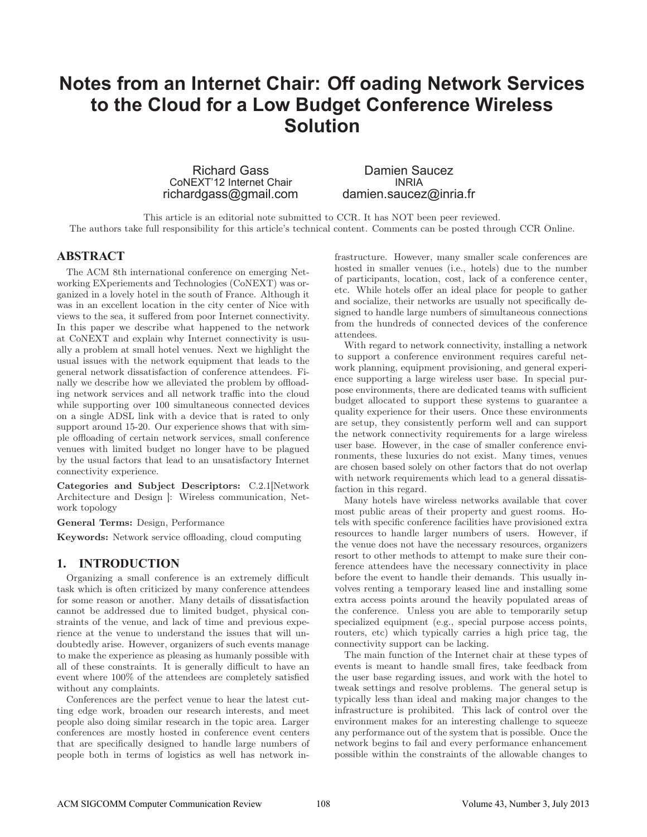# **Notes from an Internet Chair: Off oading Network Services to the Cloud for a Low Budget Conference Wireless Solution**

CoNEXT'12 Internet Chair richardgass@gmail.com damien.saucez@inria.fr

Richard Gass **Damien Saucez**<br>EXT'12 Internet Chair **DAMIL** INRIA

This article is an editorial note submitted to CCR. It has NOT been peer reviewed. The authors take full responsibility for this article's technical content. Comments can be posted through CCR Online.

## **ABSTRACT**

The ACM 8th international conference on emerging Networking EXperiements and Technologies (CoNEXT) was organized in a lovely hotel in the south of France. Although it was in an excellent location in the city center of Nice with views to the sea, it suffered from poor Internet connectivity. In this paper we describe what happened to the network at CoNEXT and explain why Internet connectivity is usually a problem at small hotel venues. Next we highlight the usual issues with the network equipment that leads to the general network dissatisfaction of conference attendees. Finally we describe how we alleviated the problem by offloading network services and all network traffic into the cloud while supporting over 100 simultaneous connected devices on a single ADSL link with a device that is rated to only support around 15-20. Our experience shows that with simple offloading of certain network services, small conference venues with limited budget no longer have to be plagued by the usual factors that lead to an unsatisfactory Internet connectivity experience.

Categories and Subject Descriptors: C.2.1[Network Architecture and Design ]: Wireless communication, Network topology

General Terms: Design, Performance

Keywords: Network service offloading, cloud computing

#### **1. INTRODUCTION**

Organizing a small conference is an extremely difficult task which is often criticized by many conference attendees for some reason or another. Many details of dissatisfaction cannot be addressed due to limited budget, physical constraints of the venue, and lack of time and previous experience at the venue to understand the issues that will undoubtedly arise. However, organizers of such events manage to make the experience as pleasing as humanly possible with all of these constraints. It is generally difficult to have an event where 100% of the attendees are completely satisfied without any complaints.

Conferences are the perfect venue to hear the latest cutting edge work, broaden our research interests, and meet people also doing similar research in the topic area. Larger conferences are mostly hosted in conference event centers that are specifically designed to handle large numbers of people both in terms of logistics as well has network infrastructure. However, many smaller scale conferences are hosted in smaller venues (i.e., hotels) due to the number of participants, location, cost, lack of a conference center, etc. While hotels offer an ideal place for people to gather and socialize, their networks are usually not specifically designed to handle large numbers of simultaneous connections from the hundreds of connected devices of the conference attendees.

With regard to network connectivity, installing a network to support a conference environment requires careful network planning, equipment provisioning, and general experience supporting a large wireless user base. In special purpose environments, there are dedicated teams with sufficient budget allocated to support these systems to guarantee a quality experience for their users. Once these environments are setup, they consistently perform well and can support the network connectivity requirements for a large wireless user base. However, in the case of smaller conference environments, these luxuries do not exist. Many times, venues are chosen based solely on other factors that do not overlap with network requirements which lead to a general dissatisfaction in this regard.

Many hotels have wireless networks available that cover most public areas of their property and guest rooms. Hotels with specific conference facilities have provisioned extra resources to handle larger numbers of users. However, if the venue does not have the necessary resources, organizers resort to other methods to attempt to make sure their conference attendees have the necessary connectivity in place before the event to handle their demands. This usually involves renting a temporary leased line and installing some extra access points around the heavily populated areas of the conference. Unless you are able to temporarily setup specialized equipment (e.g., special purpose access points, routers, etc) which typically carries a high price tag, the connectivity support can be lacking.

The main function of the Internet chair at these types of events is meant to handle small fires, take feedback from the user base regarding issues, and work with the hotel to tweak settings and resolve problems. The general setup is typically less than ideal and making major changes to the infrastructure is prohibited. This lack of control over the environment makes for an interesting challenge to squeeze any performance out of the system that is possible. Once the network begins to fail and every performance enhancement possible within the constraints of the allowable changes to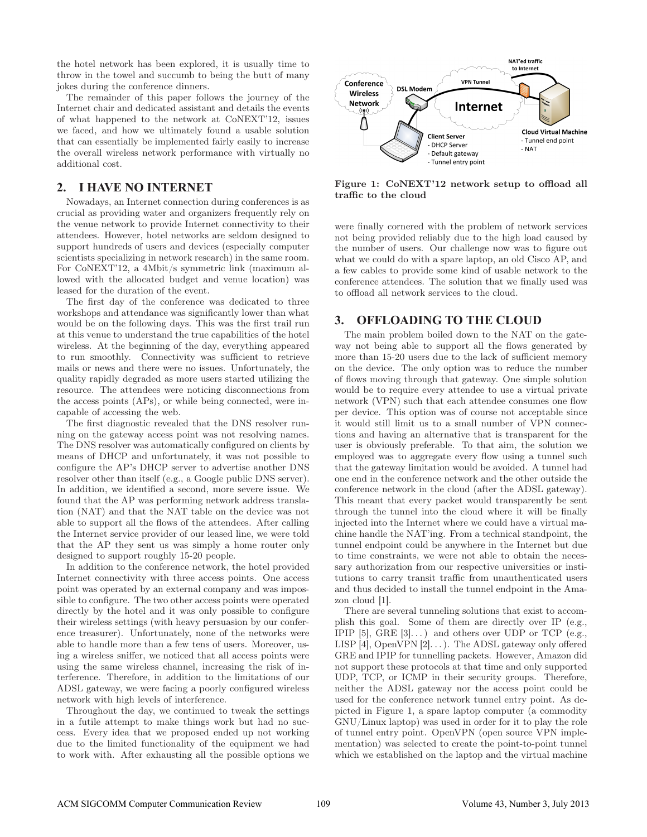the hotel network has been explored, it is usually time to throw in the towel and succumb to being the butt of many jokes during the conference dinners.

The remainder of this paper follows the journey of the Internet chair and dedicated assistant and details the events of what happened to the network at CoNEXT'12, issues we faced, and how we ultimately found a usable solution that can essentially be implemented fairly easily to increase the overall wireless network performance with virtually no additional cost.

## **2. I HAVE NO INTERNET**

Nowadays, an Internet connection during conferences is as crucial as providing water and organizers frequently rely on the venue network to provide Internet connectivity to their attendees. However, hotel networks are seldom designed to support hundreds of users and devices (especially computer scientists specializing in network research) in the same room. For CoNEXT'12, a 4Mbit/s symmetric link (maximum allowed with the allocated budget and venue location) was leased for the duration of the event.

The first day of the conference was dedicated to three workshops and attendance was significantly lower than what would be on the following days. This was the first trail run at this venue to understand the true capabilities of the hotel wireless. At the beginning of the day, everything appeared to run smoothly. Connectivity was sufficient to retrieve mails or news and there were no issues. Unfortunately, the quality rapidly degraded as more users started utilizing the resource. The attendees were noticing disconnections from the access points (APs), or while being connected, were incapable of accessing the web.

The first diagnostic revealed that the DNS resolver running on the gateway access point was not resolving names. The DNS resolver was automatically configured on clients by means of DHCP and unfortunately, it was not possible to configure the AP's DHCP server to advertise another DNS resolver other than itself (e.g., a Google public DNS server). In addition, we identified a second, more severe issue. We found that the AP was performing network address translation (NAT) and that the NAT table on the device was not able to support all the flows of the attendees. After calling the Internet service provider of our leased line, we were told that the AP they sent us was simply a home router only designed to support roughly 15-20 people.

In addition to the conference network, the hotel provided Internet connectivity with three access points. One access point was operated by an external company and was impossible to configure. The two other access points were operated directly by the hotel and it was only possible to configure their wireless settings (with heavy persuasion by our conference treasurer). Unfortunately, none of the networks were able to handle more than a few tens of users. Moreover, using a wireless sniffer, we noticed that all access points were using the same wireless channel, increasing the risk of interference. Therefore, in addition to the limitations of our ADSL gateway, we were facing a poorly configured wireless network with high levels of interference.

Throughout the day, we continued to tweak the settings in a futile attempt to make things work but had no success. Every idea that we proposed ended up not working due to the limited functionality of the equipment we had to work with. After exhausting all the possible options we



Figure 1: CoNEXT'12 network setup to offload all traffic to the cloud

were finally cornered with the problem of network services not being provided reliably due to the high load caused by the number of users. Our challenge now was to figure out what we could do with a spare laptop, an old Cisco AP, and a few cables to provide some kind of usable network to the conference attendees. The solution that we finally used was to offload all network services to the cloud.

## **3. OFFLOADING TO THE CLOUD**

The main problem boiled down to the NAT on the gateway not being able to support all the flows generated by more than 15-20 users due to the lack of sufficient memory on the device. The only option was to reduce the number of flows moving through that gateway. One simple solution would be to require every attendee to use a virtual private network (VPN) such that each attendee consumes one flow per device. This option was of course not acceptable since it would still limit us to a small number of VPN connections and having an alternative that is transparent for the user is obviously preferable. To that aim, the solution we employed was to aggregate every flow using a tunnel such that the gateway limitation would be avoided. A tunnel had one end in the conference network and the other outside the conference network in the cloud (after the ADSL gateway). This meant that every packet would transparently be sent through the tunnel into the cloud where it will be finally injected into the Internet where we could have a virtual machine handle the NAT'ing. From a technical standpoint, the tunnel endpoint could be anywhere in the Internet but due to time constraints, we were not able to obtain the necessary authorization from our respective universities or institutions to carry transit traffic from unauthenticated users and thus decided to install the tunnel endpoint in the Amazon cloud [1].

There are several tunneling solutions that exist to accomplish this goal. Some of them are directly over IP (e.g., IPIP  $[5]$ , GRE  $[3]$ ...) and others over UDP or TCP (e.g., LISP  $[4]$ , OpenVPN  $[2]$ ...). The ADSL gateway only offered GRE and IPIP for tunnelling packets. However, Amazon did not support these protocols at that time and only supported UDP, TCP, or ICMP in their security groups. Therefore, neither the ADSL gateway nor the access point could be used for the conference network tunnel entry point. As depicted in Figure 1, a spare laptop computer (a commodity GNU/Linux laptop) was used in order for it to play the role of tunnel entry point. OpenVPN (open source VPN implementation) was selected to create the point-to-point tunnel which we established on the laptop and the virtual machine